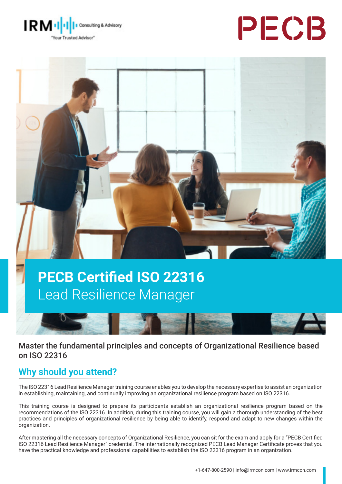





# **PECB Certified ISO 22316**  Lead Resilience Manager



Master the fundamental principles and concepts of Organizational Resilience based on ISO 22316

# **Why should you attend?**

The ISO 22316 Lead Resilience Manager training course enables you to develop the necessary expertise to assist an organization in establishing, maintaining, and continually improving an organizational resilience program based on ISO 22316.

This training course is designed to prepare its participants establish an organizational resilience program based on the recommendations of the ISO 22316. In addition, during this training course, you will gain a thorough understanding of the best practices and principles of organizational resilience by being able to identify, respond and adapt to new changes within the organization.

After mastering all the necessary concepts of Organizational Resilience, you can sit for the exam and apply for a "PECB Certified ISO 22316 Lead Resilience Manager" credential. The internationally recognized PECB Lead Manager Certificate proves that you have the practical knowledge and professional capabilities to establish the ISO 22316 program in an organization.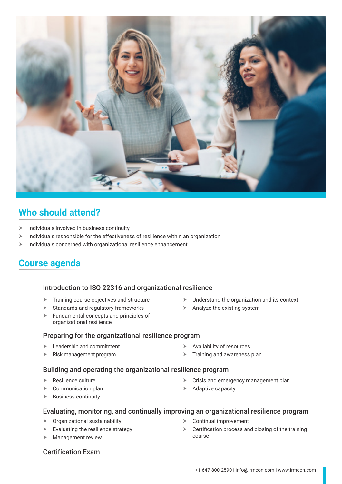

# **Who should attend?**

- Individuals involved in business continuity
- $\blacktriangleright$  Individuals responsible for the effectiveness of resilience within an organization
- $\blacktriangleright$  Individuals concerned with organizational resilience enhancement

# **Course agenda**

#### **Day 1** Introduction to ISO 22316 and organizational resilience

- $\blacktriangleright$  Training course objectives and structure
- $\triangleright$  Standards and regulatory frameworks
- $\blacktriangleright$  Fundamental concepts and principles of organizational resilience

#### Preparing for the organizational resilience program

- $\blacktriangleright$  Leadership and commitment
- $\triangleright$  Risk management program
- $\triangleright$  Availability of resources
- $\triangleright$  Training and awareness plan

#### **Day 3** Building and operating the organizational resilience program

- $\triangleright$  Resilience culture
- $\triangleright$  Communication plan
- $\triangleright$  Business continuity
- $\triangleright$  Crisis and emergency management plan
- $\blacktriangleright$  Adaptive capacity

#### **Day 4** Evaluating, monitoring, and continually improving an organizational resilience program

- $\triangleright$  Organizational sustainability
- $\blacktriangleright$  Evaluating the resilience strategy
- $\blacktriangleright$  Management review
- $\triangleright$  Continual improvement
- $\triangleright$  Certification process and closing of the training course

**Day 5** Certification Exam

+1-647-800-2590 | info@irmcon.com | www.irmcon.com

- $\triangleright$  Understand the organization and its context
- $\triangleright$  Analyze the existing system
- 
-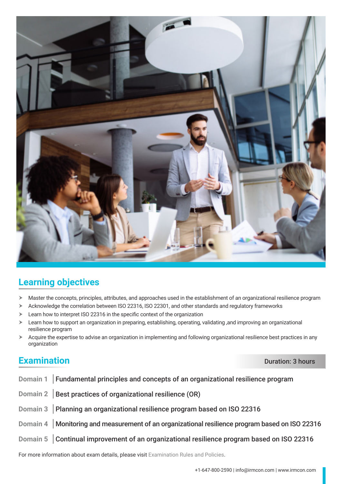

# **Learning objectives**

- h Master the concepts, principles, attributes, and approaches used in the establishment of an organizational resilience program
- $\triangleright$  Acknowledge the correlation between ISO 22316, ISO 22301, and other standards and regulatory frameworks
- $\geq$  Learn how to interpret ISO 22316 in the specific context of the organization
- > Learn how to support an organization in preparing, establishing, operating, validating ,and improving an organizational resilience program
- $\triangleright$  Acquire the expertise to advise an organization in implementing and following organizational resilience best practices in any organization

# **Examination** Duration **Duration**

| Domain 1 Fundamental principles and concepts of an organizational resilience program             |
|--------------------------------------------------------------------------------------------------|
| Domain 2   Best practices of organizational resilience (OR)                                      |
| Domain 3   Planning an organizational resilience program based on ISO 22316                      |
| Domain 4   Monitoring and measurement of an organizational resilience program based on ISO 22316 |
| Domain 5 Continual improvement of an organizational resilience program based on ISO 22316        |
|                                                                                                  |

For more information about exam details, please visit [Examination Rules and Policies](https://pecb.com/en/examination-rules-and-policies).